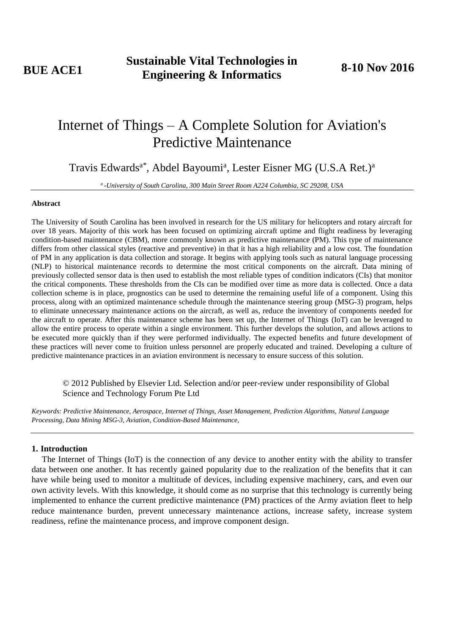**BUE ACE1**

# Internet of Things – A Complete Solution for Aviation's Predictive Maintenance

Travis Edwards<sup>a\*</sup>, Abdel Bayoumi<sup>a</sup>, Lester Eisner MG (U.S.A Ret.)<sup>a</sup>

*a -University of South Carolina, 300 Main Street Room A224 Columbia, SC 29208, USA*

#### **Abstract**

The University of South Carolina has been involved in research for the US military for helicopters and rotary aircraft for over 18 years. Majority of this work has been focused on optimizing aircraft uptime and flight readiness by leveraging condition-based maintenance (CBM), more commonly known as predictive maintenance (PM). This type of maintenance differs from other classical styles (reactive and preventive) in that it has a high reliability and a low cost. The foundation of PM in any application is data collection and storage. It begins with applying tools such as natural language processing (NLP) to historical maintenance records to determine the most critical components on the aircraft. Data mining of previously collected sensor data is then used to establish the most reliable types of condition indicators (CIs) that monitor the critical components. These thresholds from the CIs can be modified over time as more data is collected. Once a data collection scheme is in place, prognostics can be used to determine the remaining useful life of a component. Using this process, along with an optimized maintenance schedule through the maintenance steering group (MSG-3) program, helps to eliminate unnecessary maintenance actions on the aircraft, as well as, reduce the inventory of components needed for the aircraft to operate. After this maintenance scheme has been set up, the Internet of Things (IoT) can be leveraged to allow the entire process to operate within a single environment. This further develops the solution, and allows actions to be executed more quickly than if they were performed individually. The expected benefits and future development of these practices will never come to fruition unless personnel are properly educated and trained. Developing a culture of predictive maintenance practices in an aviation environment is necessary to ensure success of this solution.

© 2012 Published by Elsevier Ltd. Selection and/or peer-review under responsibility of Global Science and Technology Forum Pte Ltd

*Keywords: Predictive Maintenance, Aerospace, Internet of Things, Asset Management, Prediction Algorithms, Natural Language Processing, Data Mining MSG-3, Aviation, Condition-Based Maintenance,*

# **1. Introduction**

The Internet of Things (IoT) is the connection of any device to another entity with the ability to transfer data between one another. It has recently gained popularity due to the realization of the benefits that it can have while being used to monitor a multitude of devices, including expensive machinery, cars, and even our own activity levels. With this knowledge, it should come as no surprise that this technology is currently being implemented to enhance the current predictive maintenance (PM) practices of the Army aviation fleet to help reduce maintenance burden, prevent unnecessary maintenance actions, increase safety, increase system readiness, refine the maintenance process, and improve component design.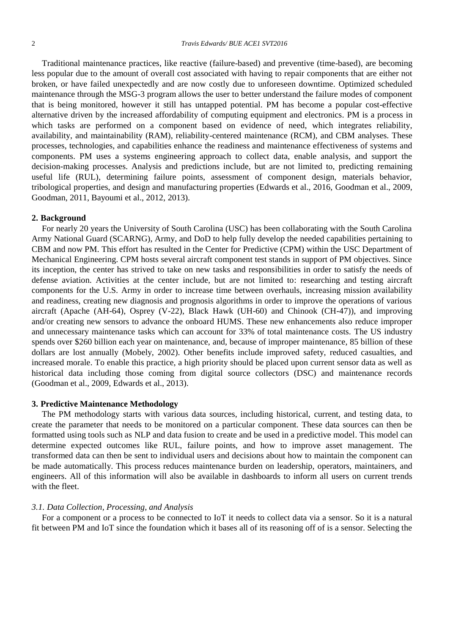#### 2 *Travis Edwards/ BUE ACE1 SVT2016*

Traditional maintenance practices, like reactive (failure-based) and preventive (time-based), are becoming less popular due to the amount of overall cost associated with having to repair components that are either not broken, or have failed unexpectedly and are now costly due to unforeseen downtime. Optimized scheduled maintenance through the MSG-3 program allows the user to better understand the failure modes of component that is being monitored, however it still has untapped potential. PM has become a popular cost-effective alternative driven by the increased affordability of computing equipment and electronics. PM is a process in which tasks are performed on a component based on evidence of need, which integrates reliability, availability, and maintainability (RAM), reliability-centered maintenance (RCM), and CBM analyses. These processes, technologies, and capabilities enhance the readiness and maintenance effectiveness of systems and components. PM uses a systems engineering approach to collect data, enable analysis, and support the decision-making processes. Analysis and predictions include, but are not limited to, predicting remaining useful life (RUL), determining failure points, assessment of component design, materials behavior, tribological properties, and design and manufacturing properties (Edwards et al., 2016, Goodman et al., 2009, Goodman, 2011, Bayoumi et al., 2012, 2013).

#### **2. Background**

For nearly 20 years the University of South Carolina (USC) has been collaborating with the South Carolina Army National Guard (SCARNG), Army, and DoD to help fully develop the needed capabilities pertaining to CBM and now PM. This effort has resulted in the Center for Predictive (CPM) within the USC Department of Mechanical Engineering. CPM hosts several aircraft component test stands in support of PM objectives. Since its inception, the center has strived to take on new tasks and responsibilities in order to satisfy the needs of defense aviation. Activities at the center include, but are not limited to: researching and testing aircraft components for the U.S. Army in order to increase time between overhauls, increasing mission availability and readiness, creating new diagnosis and prognosis algorithms in order to improve the operations of various aircraft (Apache (AH-64), Osprey (V-22), Black Hawk (UH-60) and Chinook (CH-47)), and improving and/or creating new sensors to advance the onboard HUMS. These new enhancements also reduce improper and unnecessary maintenance tasks which can account for 33% of total maintenance costs. The US industry spends over \$260 billion each year on maintenance, and, because of improper maintenance, 85 billion of these dollars are lost annually (Mobely, 2002). Other benefits include improved safety, reduced casualties, and increased morale. To enable this practice, a high priority should be placed upon current sensor data as well as historical data including those coming from digital source collectors (DSC) and maintenance records (Goodman et al., 2009, Edwards et al., 2013).

## **3. Predictive Maintenance Methodology**

The PM methodology starts with various data sources, including historical, current, and testing data, to create the parameter that needs to be monitored on a particular component. These data sources can then be formatted using tools such as NLP and data fusion to create and be used in a predictive model. This model can determine expected outcomes like RUL, failure points, and how to improve asset management. The transformed data can then be sent to individual users and decisions about how to maintain the component can be made automatically. This process reduces maintenance burden on leadership, operators, maintainers, and engineers. All of this information will also be available in dashboards to inform all users on current trends with the fleet.

## *3.1. Data Collection, Processing, and Analysis*

For a component or a process to be connected to IoT it needs to collect data via a sensor. So it is a natural fit between PM and IoT since the foundation which it bases all of its reasoning off of is a sensor. Selecting the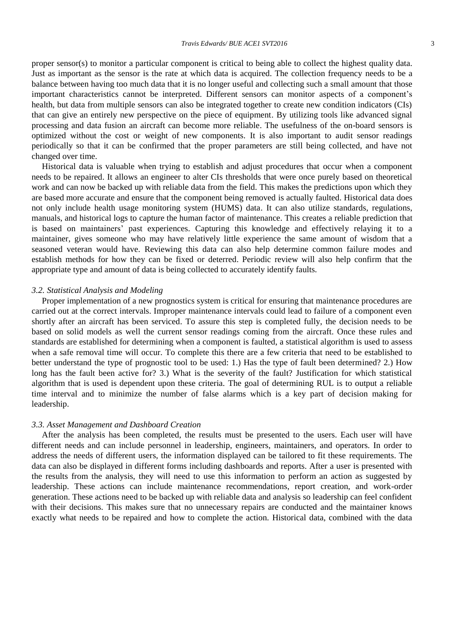proper sensor(s) to monitor a particular component is critical to being able to collect the highest quality data. Just as important as the sensor is the rate at which data is acquired. The collection frequency needs to be a balance between having too much data that it is no longer useful and collecting such a small amount that those important characteristics cannot be interpreted. Different sensors can monitor aspects of a component's health, but data from multiple sensors can also be integrated together to create new condition indicators (CIs) that can give an entirely new perspective on the piece of equipment. By utilizing tools like advanced signal processing and data fusion an aircraft can become more reliable. The usefulness of the on-board sensors is optimized without the cost or weight of new components. It is also important to audit sensor readings periodically so that it can be confirmed that the proper parameters are still being collected, and have not changed over time.

Historical data is valuable when trying to establish and adjust procedures that occur when a component needs to be repaired. It allows an engineer to alter CIs thresholds that were once purely based on theoretical work and can now be backed up with reliable data from the field. This makes the predictions upon which they are based more accurate and ensure that the component being removed is actually faulted. Historical data does not only include health usage monitoring system (HUMS) data. It can also utilize standards, regulations, manuals, and historical logs to capture the human factor of maintenance. This creates a reliable prediction that is based on maintainers' past experiences. Capturing this knowledge and effectively relaying it to a maintainer, gives someone who may have relatively little experience the same amount of wisdom that a seasoned veteran would have. Reviewing this data can also help determine common failure modes and establish methods for how they can be fixed or deterred. Periodic review will also help confirm that the appropriate type and amount of data is being collected to accurately identify faults.

## *3.2. Statistical Analysis and Modeling*

Proper implementation of a new prognostics system is critical for ensuring that maintenance procedures are carried out at the correct intervals. Improper maintenance intervals could lead to failure of a component even shortly after an aircraft has been serviced. To assure this step is completed fully, the decision needs to be based on solid models as well the current sensor readings coming from the aircraft. Once these rules and standards are established for determining when a component is faulted, a statistical algorithm is used to assess when a safe removal time will occur. To complete this there are a few criteria that need to be established to better understand the type of prognostic tool to be used: 1.) Has the type of fault been determined? 2.) How long has the fault been active for? 3.) What is the severity of the fault? Justification for which statistical algorithm that is used is dependent upon these criteria. The goal of determining RUL is to output a reliable time interval and to minimize the number of false alarms which is a key part of decision making for leadership.

### *3.3. Asset Management and Dashboard Creation*

After the analysis has been completed, the results must be presented to the users. Each user will have different needs and can include personnel in leadership, engineers, maintainers, and operators. In order to address the needs of different users, the information displayed can be tailored to fit these requirements. The data can also be displayed in different forms including dashboards and reports. After a user is presented with the results from the analysis, they will need to use this information to perform an action as suggested by leadership. These actions can include maintenance recommendations, report creation, and work-order generation. These actions need to be backed up with reliable data and analysis so leadership can feel confident with their decisions. This makes sure that no unnecessary repairs are conducted and the maintainer knows exactly what needs to be repaired and how to complete the action. Historical data, combined with the data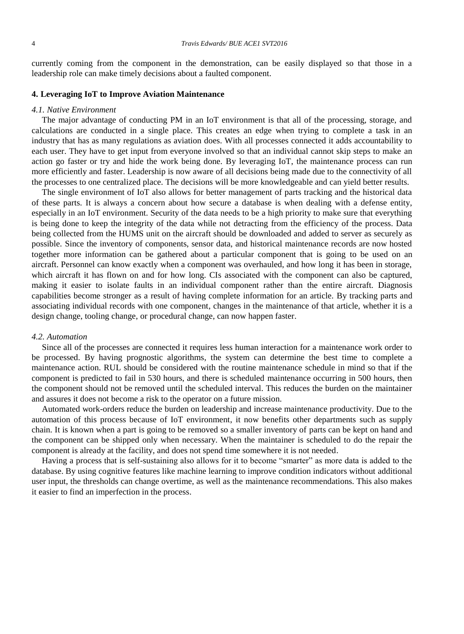currently coming from the component in the demonstration, can be easily displayed so that those in a leadership role can make timely decisions about a faulted component.

#### **4. Leveraging IoT to Improve Aviation Maintenance**

#### *4.1. Native Environment*

The major advantage of conducting PM in an IoT environment is that all of the processing, storage, and calculations are conducted in a single place. This creates an edge when trying to complete a task in an industry that has as many regulations as aviation does. With all processes connected it adds accountability to each user. They have to get input from everyone involved so that an individual cannot skip steps to make an action go faster or try and hide the work being done. By leveraging IoT, the maintenance process can run more efficiently and faster. Leadership is now aware of all decisions being made due to the connectivity of all the processes to one centralized place. The decisions will be more knowledgeable and can yield better results.

The single environment of IoT also allows for better management of parts tracking and the historical data of these parts. It is always a concern about how secure a database is when dealing with a defense entity, especially in an IoT environment. Security of the data needs to be a high priority to make sure that everything is being done to keep the integrity of the data while not detracting from the efficiency of the process. Data being collected from the HUMS unit on the aircraft should be downloaded and added to server as securely as possible. Since the inventory of components, sensor data, and historical maintenance records are now hosted together more information can be gathered about a particular component that is going to be used on an aircraft. Personnel can know exactly when a component was overhauled, and how long it has been in storage, which aircraft it has flown on and for how long. CIs associated with the component can also be captured, making it easier to isolate faults in an individual component rather than the entire aircraft. Diagnosis capabilities become stronger as a result of having complete information for an article. By tracking parts and associating individual records with one component, changes in the maintenance of that article, whether it is a design change, tooling change, or procedural change, can now happen faster.

#### *4.2. Automation*

Since all of the processes are connected it requires less human interaction for a maintenance work order to be processed. By having prognostic algorithms, the system can determine the best time to complete a maintenance action. RUL should be considered with the routine maintenance schedule in mind so that if the component is predicted to fail in 530 hours, and there is scheduled maintenance occurring in 500 hours, then the component should not be removed until the scheduled interval. This reduces the burden on the maintainer and assures it does not become a risk to the operator on a future mission.

Automated work-orders reduce the burden on leadership and increase maintenance productivity. Due to the automation of this process because of IoT environment, it now benefits other departments such as supply chain. It is known when a part is going to be removed so a smaller inventory of parts can be kept on hand and the component can be shipped only when necessary. When the maintainer is scheduled to do the repair the component is already at the facility, and does not spend time somewhere it is not needed.

Having a process that is self-sustaining also allows for it to become "smarter" as more data is added to the database. By using cognitive features like machine learning to improve condition indicators without additional user input, the thresholds can change overtime, as well as the maintenance recommendations. This also makes it easier to find an imperfection in the process.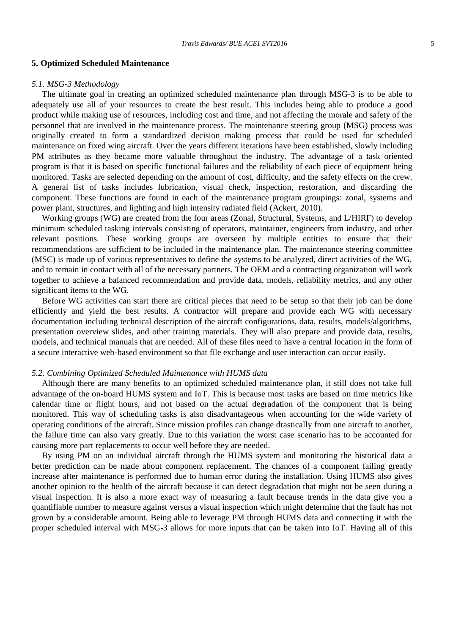#### **5. Optimized Scheduled Maintenance**

#### *5.1. MSG-3 Methodology*

The ultimate goal in creating an optimized scheduled maintenance plan through MSG-3 is to be able to adequately use all of your resources to create the best result. This includes being able to produce a good product while making use of resources, including cost and time, and not affecting the morale and safety of the personnel that are involved in the maintenance process. The maintenance steering group (MSG) process was originally created to form a standardized decision making process that could be used for scheduled maintenance on fixed wing aircraft. Over the years different iterations have been established, slowly including PM attributes as they became more valuable throughout the industry. The advantage of a task oriented program is that it is based on specific functional failures and the reliability of each piece of equipment being monitored. Tasks are selected depending on the amount of cost, difficulty, and the safety effects on the crew. A general list of tasks includes lubrication, visual check, inspection, restoration, and discarding the component. These functions are found in each of the maintenance program groupings: zonal, systems and power plant, structures, and lighting and high intensity radiated field (Ackert, 2010).

Working groups (WG) are created from the four areas (Zonal, Structural, Systems, and L/HIRF) to develop minimum scheduled tasking intervals consisting of operators, maintainer, engineers from industry, and other relevant positions. These working groups are overseen by multiple entities to ensure that their recommendations are sufficient to be included in the maintenance plan. The maintenance steering committee (MSC) is made up of various representatives to define the systems to be analyzed, direct activities of the WG, and to remain in contact with all of the necessary partners. The OEM and a contracting organization will work together to achieve a balanced recommendation and provide data, models, reliability metrics, and any other significant items to the WG.

Before WG activities can start there are critical pieces that need to be setup so that their job can be done efficiently and yield the best results. A contractor will prepare and provide each WG with necessary documentation including technical description of the aircraft configurations, data, results, models/algorithms, presentation overview slides, and other training materials. They will also prepare and provide data, results, models, and technical manuals that are needed. All of these files need to have a central location in the form of a secure interactive web-based environment so that file exchange and user interaction can occur easily.

#### *5.2. Combining Optimized Scheduled Maintenance with HUMS data*

Although there are many benefits to an optimized scheduled maintenance plan, it still does not take full advantage of the on-board HUMS system and IoT. This is because most tasks are based on time metrics like calendar time or flight hours, and not based on the actual degradation of the component that is being monitored. This way of scheduling tasks is also disadvantageous when accounting for the wide variety of operating conditions of the aircraft. Since mission profiles can change drastically from one aircraft to another, the failure time can also vary greatly. Due to this variation the worst case scenario has to be accounted for causing more part replacements to occur well before they are needed.

By using PM on an individual aircraft through the HUMS system and monitoring the historical data a better prediction can be made about component replacement. The chances of a component failing greatly increase after maintenance is performed due to human error during the installation. Using HUMS also gives another opinion to the health of the aircraft because it can detect degradation that might not be seen during a visual inspection. It is also a more exact way of measuring a fault because trends in the data give you a quantifiable number to measure against versus a visual inspection which might determine that the fault has not grown by a considerable amount. Being able to leverage PM through HUMS data and connecting it with the proper scheduled interval with MSG-3 allows for more inputs that can be taken into IoT. Having all of this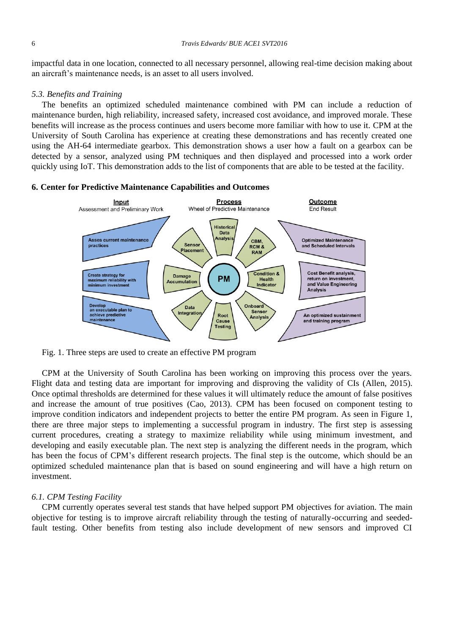impactful data in one location, connected to all necessary personnel, allowing real-time decision making about an aircraft's maintenance needs, is an asset to all users involved.

## *5.3. Benefits and Training*

The benefits an optimized scheduled maintenance combined with PM can include a reduction of maintenance burden, high reliability, increased safety, increased cost avoidance, and improved morale. These benefits will increase as the process continues and users become more familiar with how to use it. CPM at the University of South Carolina has experience at creating these demonstrations and has recently created one using the AH-64 intermediate gearbox. This demonstration shows a user how a fault on a gearbox can be detected by a sensor, analyzed using PM techniques and then displayed and processed into a work order quickly using IoT. This demonstration adds to the list of components that are able to be tested at the facility.

## **6. Center for Predictive Maintenance Capabilities and Outcomes**



Fig. 1. Three steps are used to create an effective PM program

CPM at the University of South Carolina has been working on improving this process over the years. Flight data and testing data are important for improving and disproving the validity of CIs (Allen, 2015). Once optimal thresholds are determined for these values it will ultimately reduce the amount of false positives and increase the amount of true positives (Cao, 2013). CPM has been focused on component testing to improve condition indicators and independent projects to better the entire PM program. As seen in Figure 1, there are three major steps to implementing a successful program in industry. The first step is assessing current procedures, creating a strategy to maximize reliability while using minimum investment, and developing and easily executable plan. The next step is analyzing the different needs in the program, which has been the focus of CPM's different research projects. The final step is the outcome, which should be an optimized scheduled maintenance plan that is based on sound engineering and will have a high return on investment.

#### *6.1. CPM Testing Facility*

CPM currently operates several test stands that have helped support PM objectives for aviation. The main objective for testing is to improve aircraft reliability through the testing of naturally-occurring and seededfault testing. Other benefits from testing also include development of new sensors and improved CI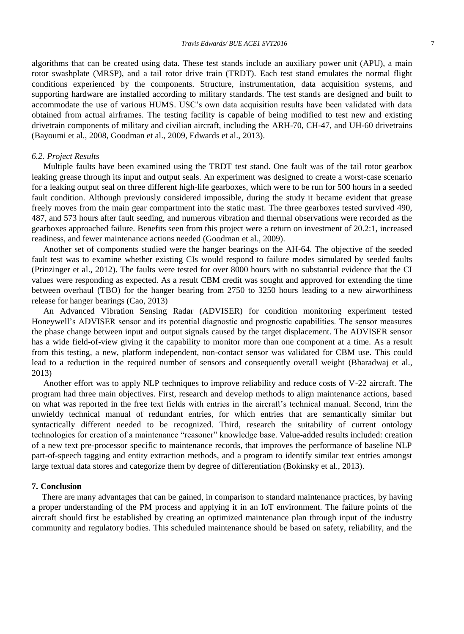algorithms that can be created using data. These test stands include an auxiliary power unit (APU), a main rotor swashplate (MRSP), and a tail rotor drive train (TRDT). Each test stand emulates the normal flight conditions experienced by the components. Structure, instrumentation, data acquisition systems, and supporting hardware are installed according to military standards. The test stands are designed and built to accommodate the use of various HUMS. USC's own data acquisition results have been validated with data obtained from actual airframes. The testing facility is capable of being modified to test new and existing drivetrain components of military and civilian aircraft, including the ARH-70, CH-47, and UH-60 drivetrains (Bayoumi et al., 2008, Goodman et al., 2009, Edwards et al., 2013).

# *6.2. Project Results*

Multiple faults have been examined using the TRDT test stand. One fault was of the tail rotor gearbox leaking grease through its input and output seals. An experiment was designed to create a worst-case scenario for a leaking output seal on three different high-life gearboxes, which were to be run for 500 hours in a seeded fault condition. Although previously considered impossible, during the study it became evident that grease freely moves from the main gear compartment into the static mast. The three gearboxes tested survived 490, 487, and 573 hours after fault seeding, and numerous vibration and thermal observations were recorded as the gearboxes approached failure. Benefits seen from this project were a return on investment of 20.2:1, increased readiness, and fewer maintenance actions needed (Goodman et al., 2009).

Another set of components studied were the hanger bearings on the AH-64. The objective of the seeded fault test was to examine whether existing CIs would respond to failure modes simulated by seeded faults (Prinzinger et al., 2012). The faults were tested for over 8000 hours with no substantial evidence that the CI values were responding as expected. As a result CBM credit was sought and approved for extending the time between overhaul (TBO) for the hanger bearing from 2750 to 3250 hours leading to a new airworthiness release for hanger bearings (Cao, 2013)

An Advanced Vibration Sensing Radar (ADVISER) for condition monitoring experiment tested Honeywell's ADVISER sensor and its potential diagnostic and prognostic capabilities. The sensor measures the phase change between input and output signals caused by the target displacement. The ADVISER sensor has a wide field-of-view giving it the capability to monitor more than one component at a time. As a result from this testing, a new, platform independent, non-contact sensor was validated for CBM use. This could lead to a reduction in the required number of sensors and consequently overall weight (Bharadwaj et al., 2013)

Another effort was to apply NLP techniques to improve reliability and reduce costs of V-22 aircraft. The program had three main objectives. First, research and develop methods to align maintenance actions, based on what was reported in the free text fields with entries in the aircraft's technical manual. Second, trim the unwieldy technical manual of redundant entries, for which entries that are semantically similar but syntactically different needed to be recognized. Third, research the suitability of current ontology technologies for creation of a maintenance "reasoner" knowledge base. Value-added results included: creation of a new text pre-processor specific to maintenance records, that improves the performance of baseline NLP part-of-speech tagging and entity extraction methods, and a program to identify similar text entries amongst large textual data stores and categorize them by degree of differentiation (Bokinsky et al., 2013).

### **7. Conclusion**

There are many advantages that can be gained, in comparison to standard maintenance practices, by having a proper understanding of the PM process and applying it in an IoT environment. The failure points of the aircraft should first be established by creating an optimized maintenance plan through input of the industry community and regulatory bodies. This scheduled maintenance should be based on safety, reliability, and the